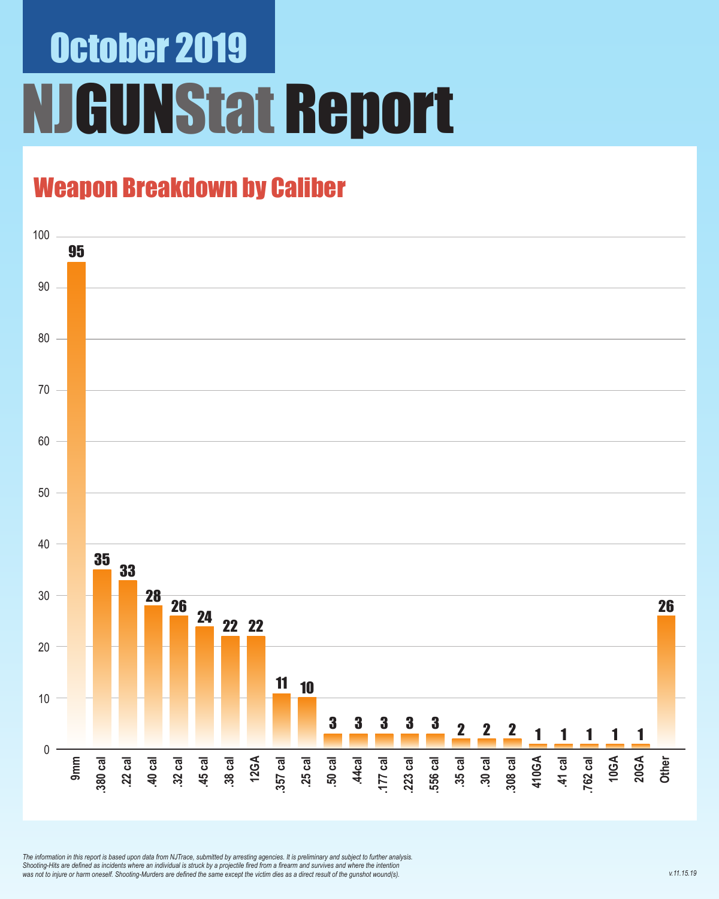## October 2019 NJGUNStat Report

#### Weapon Breakdown by Caliber



*The information in this report is based upon data from NJTrace, submitted by arresting agencies. It is preliminary and subject to further analysis. Shooting-Hits are defined as incidents where an individual is struck by a projectile fired from a firearm and survives and where the intention was not to injure or harm oneself. Shooting-Murders are defined the same except the victim dies as a direct result of the gunshot wound(s).*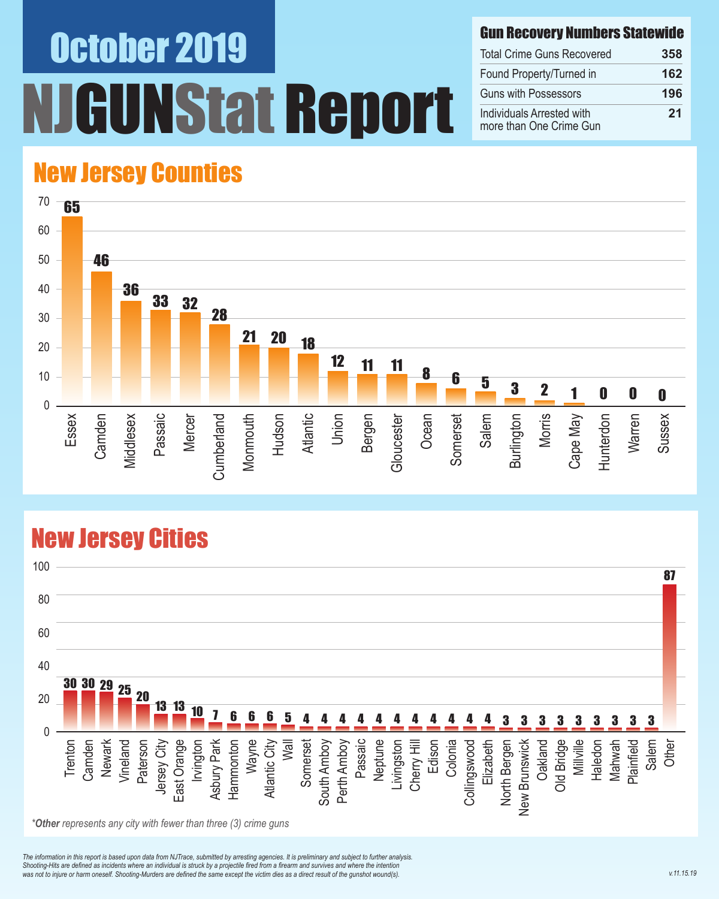# October 2019 NStat Report

#### Gun Recovery Numbers Statewide

| <b>Total Crime Guns Recovered</b>                    | 358 |
|------------------------------------------------------|-----|
| Found Property/Turned in                             | 162 |
| <b>Guns with Possessors</b>                          | 196 |
| Individuals Arrested with<br>more than One Crime Gun | 21  |

#### New Jersey Counties



#### New Jersey Cities



*\*Other represents any city with fewer than three (3) crime guns*

*The information in this report is based upon data from NJTrace, submitted by arresting agencies. It is preliminary and subject to further analysis. Shooting-Hits are defined as incidents where an individual is struck by a projectile fired from a firearm and survives and where the intention*  was not to injure or harm oneself. Shooting-Murders are defined the same except the victim dies as a direct result of the gunshot wound(s).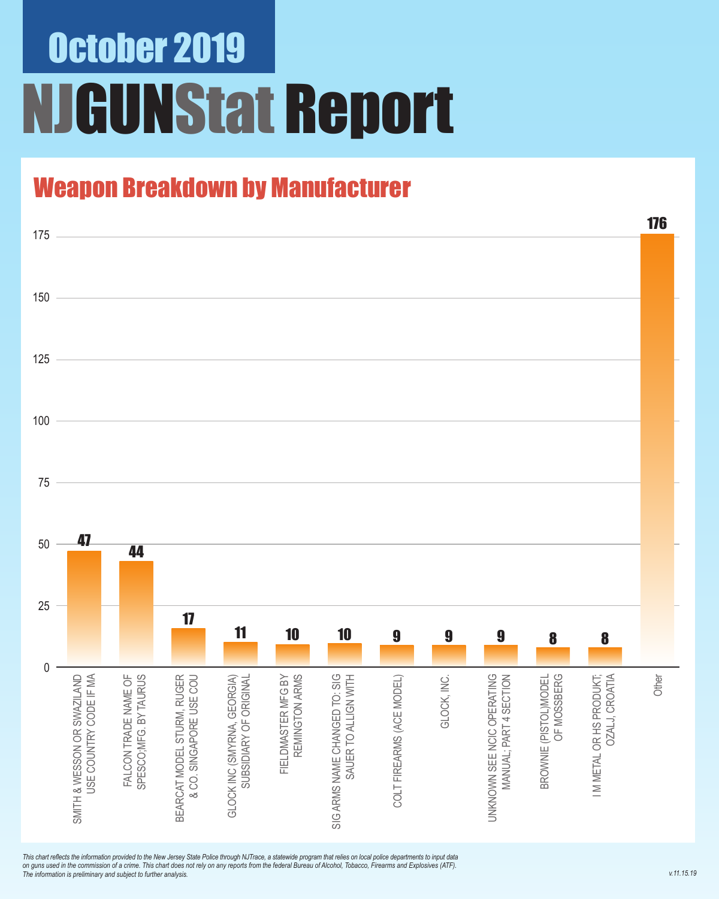## October 2019 NJGUNStat Report

### Weapon Breakdown by Manufacturer



*This chart reflects the information provided to the New Jersey State Police through NJTrace, a statewide program that relies on local police departments to input data on guns used in the commission of a crime. This chart does not rely on any reports from the federal Bureau of Alcohol, Tobacco, Firearms and Explosives (ATF). The information is preliminary and subject to further analysis.*